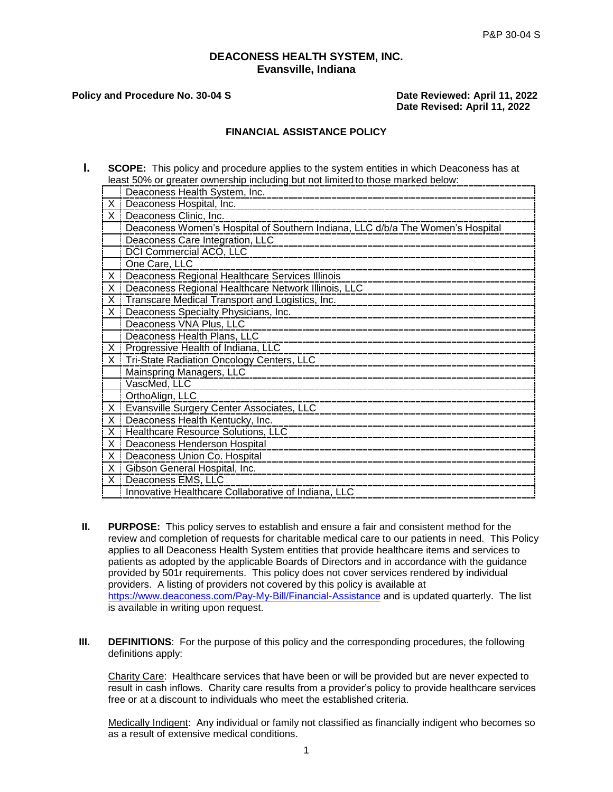### **DEACONESS HEALTH SYSTEM, INC. Evansville, Indiana**

#### **Policy and Procedure No. 30-04 S** Date Reviewed: April 11, 2022

 **Date Revised: April 11, 2022**

### **FINANCIAL ASSISTANCE POLICY**

**I. SCOPE:** This policy and procedure applies to the system entities in which Deaconess has at least 50% or greater ownership including but not limited to those marked below:

|              | Deaconess Health System, Inc.                                                  |
|--------------|--------------------------------------------------------------------------------|
| X.           | Deaconess Hospital, Inc.                                                       |
| $\mathsf{X}$ | Deaconess Clinic, Inc.                                                         |
|              | Deaconess Women's Hospital of Southern Indiana, LLC d/b/a The Women's Hospital |
|              | Deaconess Care Integration, LLC                                                |
|              | DCI Commercial ACO, LLC                                                        |
|              | One Care, LLC                                                                  |
| X            | Deaconess Regional Healthcare Services Illinois                                |
| X            | Deaconess Regional Healthcare Network Illinois, LLC                            |
| X            | Transcare Medical Transport and Logistics, Inc.                                |
| X.           | Deaconess Specialty Physicians, Inc.                                           |
|              | Deaconess VNA Plus, LLC                                                        |
|              | Deaconess Health Plans, LLC                                                    |
| $\times$     | Progressive Health of Indiana, LLC                                             |
| Χi           | Tri-State Radiation Oncology Centers, LLC                                      |
|              | Mainspring Managers, LLC                                                       |
|              | VascMed, LLC                                                                   |
|              | OrthoAlign, LLC                                                                |
| X.           | Evansville Surgery Center Associates, LLC                                      |
| X.           | Deaconess Health Kentucky, Inc.                                                |
| X.           | Healthcare Resource Solutions, LLC                                             |
| X.           | Deaconess Henderson Hospital                                                   |
| X            | Deaconess Union Co. Hospital                                                   |
| X            | Gibson General Hospital, Inc.                                                  |
| $\times$     | Deaconess EMS, LLC                                                             |
|              | Innovative Healthcare Collaborative of Indiana, LLC                            |

- **II. PURPOSE:** This policy serves to establish and ensure a fair and consistent method for the review and completion of requests for charitable medical care to our patients in need. This Policy applies to all Deaconess Health System entities that provide healthcare items and services to patients as adopted by the applicable Boards of Directors and in accordance with the guidance provided by 501r requirements. This policy does not cover services rendered by individual providers. A listing of providers not covered by this policy is available at <https://www.deaconess.com/Pay-My-Bill/Financial-Assistance> and is updated quarterly. The list is available in writing upon request.
- **III. DEFINITIONS**: For the purpose of this policy and the corresponding procedures, the following definitions apply:

Charity Care: Healthcare services that have been or will be provided but are never expected to result in cash inflows. Charity care results from a provider's policy to provide healthcare services free or at a discount to individuals who meet the established criteria.

Medically Indigent: Any individual or family not classified as financially indigent who becomes so as a result of extensive medical conditions.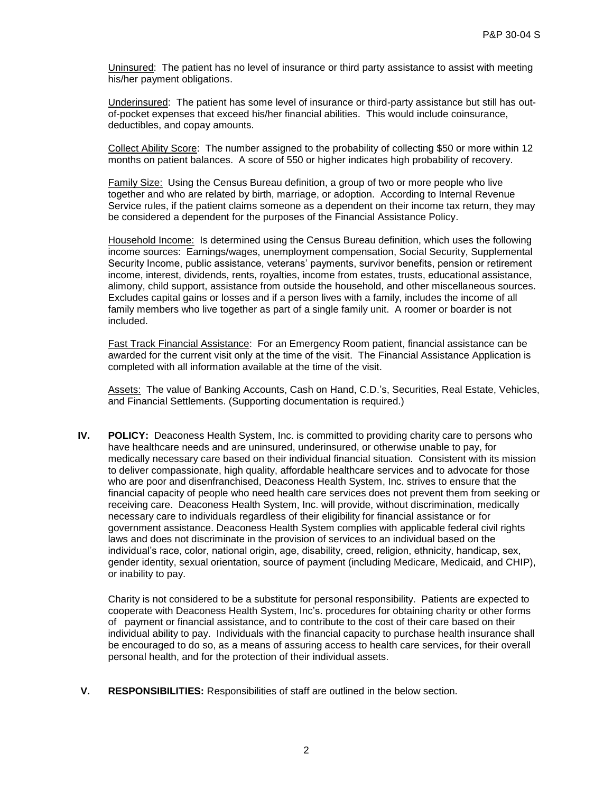Uninsured: The patient has no level of insurance or third party assistance to assist with meeting his/her payment obligations.

Underinsured: The patient has some level of insurance or third-party assistance but still has outof-pocket expenses that exceed his/her financial abilities. This would include coinsurance, deductibles, and copay amounts.

Collect Ability Score: The number assigned to the probability of collecting \$50 or more within 12 months on patient balances. A score of 550 or higher indicates high probability of recovery.

Family Size: Using the Census Bureau definition, a group of two or more people who live together and who are related by birth, marriage, or adoption. According to Internal Revenue Service rules, if the patient claims someone as a dependent on their income tax return, they may be considered a dependent for the purposes of the Financial Assistance Policy.

Household Income: Is determined using the Census Bureau definition, which uses the following income sources: Earnings/wages, unemployment compensation, Social Security, Supplemental Security Income, public assistance, veterans' payments, survivor benefits, pension or retirement income, interest, dividends, rents, royalties, income from estates, trusts, educational assistance, alimony, child support, assistance from outside the household, and other miscellaneous sources. Excludes capital gains or losses and if a person lives with a family, includes the income of all family members who live together as part of a single family unit. A roomer or boarder is not included.

Fast Track Financial Assistance: For an Emergency Room patient, financial assistance can be awarded for the current visit only at the time of the visit. The Financial Assistance Application is completed with all information available at the time of the visit.

Assets: The value of Banking Accounts, Cash on Hand, C.D.'s, Securities, Real Estate, Vehicles, and Financial Settlements. (Supporting documentation is required.)

**IV. POLICY:** Deaconess Health System, Inc. is committed to providing charity care to persons who have healthcare needs and are uninsured, underinsured, or otherwise unable to pay, for medically necessary care based on their individual financial situation. Consistent with its mission to deliver compassionate, high quality, affordable healthcare services and to advocate for those who are poor and disenfranchised, Deaconess Health System, Inc. strives to ensure that the financial capacity of people who need health care services does not prevent them from seeking or receiving care. Deaconess Health System, Inc. will provide, without discrimination, medically necessary care to individuals regardless of their eligibility for financial assistance or for government assistance. Deaconess Health System complies with applicable federal civil rights laws and does not discriminate in the provision of services to an individual based on the individual's race, color, national origin, age, disability, creed, religion, ethnicity, handicap, sex, gender identity, sexual orientation, source of payment (including Medicare, Medicaid, and CHIP), or inability to pay.

Charity is not considered to be a substitute for personal responsibility. Patients are expected to cooperate with Deaconess Health System, Inc's. procedures for obtaining charity or other forms of payment or financial assistance, and to contribute to the cost of their care based on their individual ability to pay. Individuals with the financial capacity to purchase health insurance shall be encouraged to do so, as a means of assuring access to health care services, for their overall personal health, and for the protection of their individual assets.

**V. RESPONSIBILITIES:** Responsibilities of staff are outlined in the below section.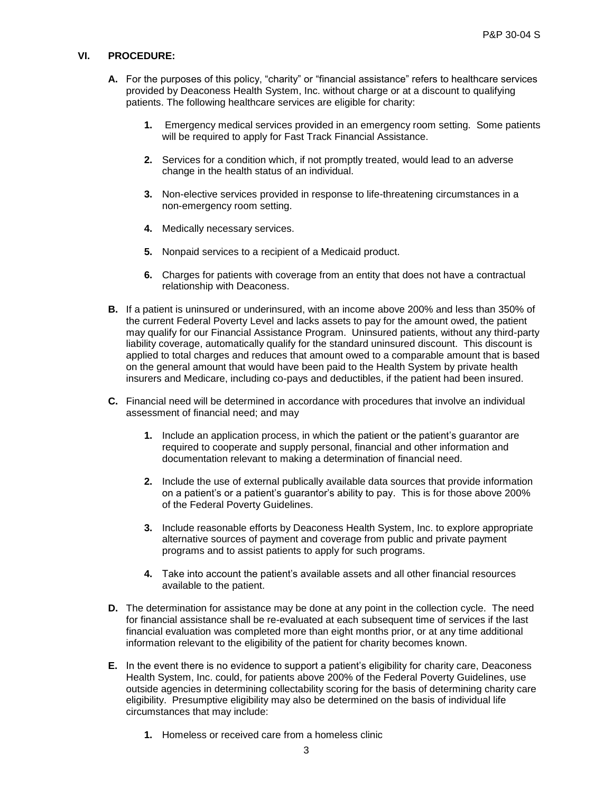#### **VI. PROCEDURE:**

- **A.** For the purposes of this policy, "charity" or "financial assistance" refers to healthcare services provided by Deaconess Health System, Inc. without charge or at a discount to qualifying patients. The following healthcare services are eligible for charity:
	- **1.** Emergency medical services provided in an emergency room setting. Some patients will be required to apply for Fast Track Financial Assistance.
	- **2.** Services for a condition which, if not promptly treated, would lead to an adverse change in the health status of an individual.
	- **3.** Non-elective services provided in response to life-threatening circumstances in a non-emergency room setting.
	- **4.** Medically necessary services.
	- **5.** Nonpaid services to a recipient of a Medicaid product.
	- **6.** Charges for patients with coverage from an entity that does not have a contractual relationship with Deaconess.
- **B.** If a patient is uninsured or underinsured, with an income above 200% and less than 350% of the current Federal Poverty Level and lacks assets to pay for the amount owed, the patient may qualify for our Financial Assistance Program. Uninsured patients, without any third-party liability coverage, automatically qualify for the standard uninsured discount. This discount is applied to total charges and reduces that amount owed to a comparable amount that is based on the general amount that would have been paid to the Health System by private health insurers and Medicare, including co-pays and deductibles, if the patient had been insured.
- **C.** Financial need will be determined in accordance with procedures that involve an individual assessment of financial need; and may
	- **1.** Include an application process, in which the patient or the patient's guarantor are required to cooperate and supply personal, financial and other information and documentation relevant to making a determination of financial need.
	- **2.** Include the use of external publically available data sources that provide information on a patient's or a patient's guarantor's ability to pay. This is for those above 200% of the Federal Poverty Guidelines.
	- **3.** Include reasonable efforts by Deaconess Health System, Inc. to explore appropriate alternative sources of payment and coverage from public and private payment programs and to assist patients to apply for such programs.
	- **4.** Take into account the patient's available assets and all other financial resources available to the patient.
- **D.** The determination for assistance may be done at any point in the collection cycle. The need for financial assistance shall be re-evaluated at each subsequent time of services if the last financial evaluation was completed more than eight months prior, or at any time additional information relevant to the eligibility of the patient for charity becomes known.
- **E.** In the event there is no evidence to support a patient's eligibility for charity care, Deaconess Health System, Inc. could, for patients above 200% of the Federal Poverty Guidelines, use outside agencies in determining collectability scoring for the basis of determining charity care eligibility. Presumptive eligibility may also be determined on the basis of individual life circumstances that may include:
	- **1.** Homeless or received care from a homeless clinic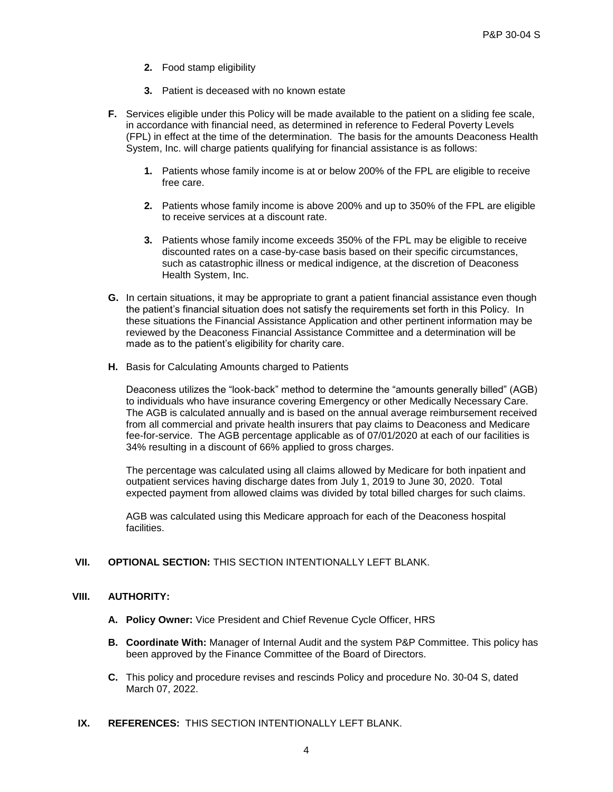- **2.** Food stamp eligibility
- **3.** Patient is deceased with no known estate
- **F.** Services eligible under this Policy will be made available to the patient on a sliding fee scale, in accordance with financial need, as determined in reference to Federal Poverty Levels (FPL) in effect at the time of the determination. The basis for the amounts Deaconess Health System, Inc. will charge patients qualifying for financial assistance is as follows:
	- **1.** Patients whose family income is at or below 200% of the FPL are eligible to receive free care.
	- **2.** Patients whose family income is above 200% and up to 350% of the FPL are eligible to receive services at a discount rate.
	- **3.** Patients whose family income exceeds 350% of the FPL may be eligible to receive discounted rates on a case-by-case basis based on their specific circumstances, such as catastrophic illness or medical indigence, at the discretion of Deaconess Health System, Inc.
- **G.** In certain situations, it may be appropriate to grant a patient financial assistance even though the patient's financial situation does not satisfy the requirements set forth in this Policy. In these situations the Financial Assistance Application and other pertinent information may be reviewed by the Deaconess Financial Assistance Committee and a determination will be made as to the patient's eligibility for charity care.
- **H.** Basis for Calculating Amounts charged to Patients

Deaconess utilizes the "look-back" method to determine the "amounts generally billed" (AGB) to individuals who have insurance covering Emergency or other Medically Necessary Care. The AGB is calculated annually and is based on the annual average reimbursement received from all commercial and private health insurers that pay claims to Deaconess and Medicare fee-for-service. The AGB percentage applicable as of 07/01/2020 at each of our facilities is 34% resulting in a discount of 66% applied to gross charges.

The percentage was calculated using all claims allowed by Medicare for both inpatient and outpatient services having discharge dates from July 1, 2019 to June 30, 2020. Total expected payment from allowed claims was divided by total billed charges for such claims.

AGB was calculated using this Medicare approach for each of the Deaconess hospital facilities.

## **VII. OPTIONAL SECTION:** THIS SECTION INTENTIONALLY LEFT BLANK.

# **VIII. AUTHORITY:**

- **A. Policy Owner:** Vice President and Chief Revenue Cycle Officer, HRS
- **B. Coordinate With:** Manager of Internal Audit and the system P&P Committee. This policy has been approved by the Finance Committee of the Board of Directors.
- **C.** This policy and procedure revises and rescinds Policy and procedure No. 30-04 S, dated March 07, 2022.
- **IX. REFERENCES:** THIS SECTION INTENTIONALLY LEFT BLANK.